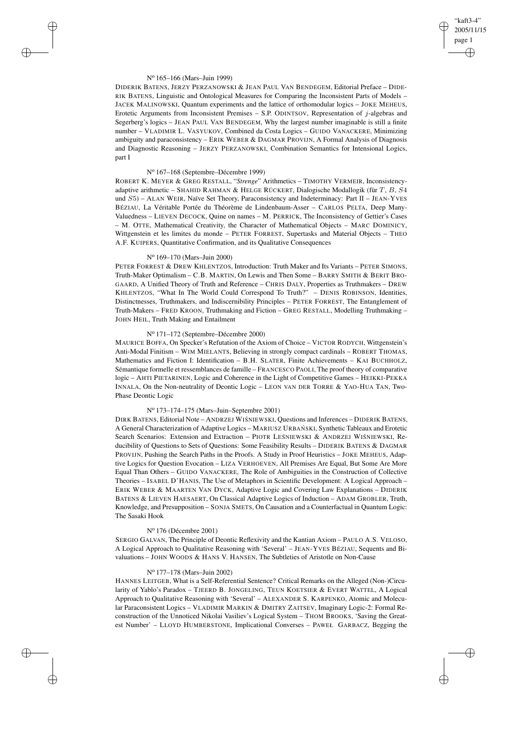# "kaft3-4" 2005/11/15 page 1 ✐ ✐

✐

✐

## N<sup>o</sup> 165–166 (Mars–Juin 1999)

✐

✐

✐

✐

DIDERIK BATENS, JERZY PERZANOWSKI & JEAN PAUL VAN BENDEGEM, Editorial Preface – DIDE-RIK BATENS, Linguistic and Ontological Measures for Comparing the Inconsistent Parts of Models – JACEK MALINOWSKI, Quantum experiments and the lattice of orthomodular logics – JOKE MEHEUS, Erotetic Arguments from Inconsistent Premises – S.P. ODINTSOV, Representation of  $j$ -algebras and Segerberg's logics – JEAN PAUL VAN BENDEGEM, Why the largest number imaginable is still a finite number – VLADIMIR L. VASYUKOV, Combined da Costa Logics – GUIDO VANACKERE, Minimizing ambiguity and paraconsistency – ERIK WEBER & DAGMAR PROVIJN, A Formal Analysis of Diagnosis and Diagnostic Reasoning – JERZY PERZANOWSKI, Combination Semantics for Intensional Logics, part I

## N<sup>o</sup> 167–168 (Septembre–Décembre 1999)

ROBERT K. MEYER & GREG RESTALL, "*Strenge*" Arithmetics – TIMOTHY VERMEIR, Inconsistencyadaptive arithmetic – SHAHID RAHMAN & HELGE RÜCKERT, Dialogische Modallogik (für T, B, S4 und S5) – ALAN WEIR, Naïve Set Theory, Paraconsistency and Indeterminacy: Part II – JEAN-YVES BÉZIAU, La Véritable Portée du Théorème de Lindenbaum-Asser – CARLOS PELTA, Deep Many-Valuedness – LIEVEN DECOCK, Quine on names – M. PERRICK, The Inconsistency of Gettier's Cases – M. OTTE, Mathematical Creativity, the Character of Mathematical Objects – MARC DOMINICY, Wittgenstein et les limites du monde – PETER FORREST, Supertasks and Material Objects – THEO A.F. KUIPERS, Quantitative Confirmation, and its Qualitative Consequences

# N<sup>o</sup> 169–170 (Mars–Juin 2000)

PETER FORREST & DREW KHLENTZOS, Introduction: Truth Maker and Its Variants – PETER SIMONS, Truth-Maker Optimalism – C.B. MARTIN, On Lewis and Then Some – BARRY SMITH & BERIT BRO-GAARD, A Unified Theory of Truth and Reference – CHRIS DALY, Properties as Truthmakers – DREW KHLENTZOS, "What In The World Could Correspond To Truth?" – DENIS ROBINSON, Identities, Distinctnesses, Truthmakers, and Indiscernibility Principles – PETER FORREST, The Entanglement of Truth-Makers – FRED KROON, Truthmaking and Fiction – GREG RESTALL, Modelling Truthmaking – JOHN HEIL, Truth Making and Entailment

# N<sup>o</sup> 171–172 (Septembre–Décembre 2000)

MAURICE BOFFA, On Specker's Refutation of the Axiom of Choice – VICTOR RODYCH, Wittgenstein's Anti-Modal Finitism – WIM MIELANTS, Believing in strongly compact cardinals – ROBERT THOMAS, Mathematics and Fiction I: Identification – B.H. SLATER, Finite Achievements – KAI BUCHHOLZ, Sémantique formelle et ressemblances de famille – FRANCESCO PAOLI, The proof theory of comparative logic – AHTI PIETARINEN, Logic and Coherence in the Light of Competitive Games – HEIKKI-PEKKA INNALA, On the Non-neutrality of Deontic Logic – LEON VAN DER TORRE & YAO-HUA TAN, Two-Phase Deontic Logic

# N<sup>o</sup> 173–174–175 (Mars–Juin–Septembre 2001)

DIRK BATENS, Editorial Note – ANDRZEJ WIŚNIEWSKI, Questions and Inferences – DIDERIK BATENS A General Characterization of Adaptive Logics - MARIUSZ URBAŃ SKI, Synthetic Tableaux and Erotetic Search Scenarios: Extension and Extraction - PIOTR LEŚNIEWSKI & ANDRZEJ WIŚNIEWSKI, Reducibility of Questions to Sets of Questions: Some Feasibility Results – DIDERIK BATENS & DAGMAR PROVIJN, Pushing the Search Paths in the Proofs. A Study in Proof Heuristics – JOKE MEHEUS, Adaptive Logics for Question Evocation – LIZA VERHOEVEN, All Premises Are Equal, But Some Are More Equal Than Others – GUIDO VANACKERE, The Role of Ambiguities in the Construction of Collective Theories – ISABEL D'HANIS, The Use of Metaphors in Scientific Development: A Logical Approach – ERIK WEBER & MAARTEN VAN DYCK, Adaptive Logic and Covering Law Explanations – DIDERIK BATENS & LIEVEN HAESAERT, On Classical Adaptive Logics of Induction – ADAM GROBLER, Truth, Knowledge, and Presupposition – SONJA SMETS, On Causation and a Counterfactual in Quantum Logic: The Sasaki Hook

#### N<sup>o</sup> 176 (Décembre 2001)

SERGIO GALVAN, The Principle of Deontic Reflexivity and the Kantian Axiom – PAULO A.S. VELOSO, A Logical Approach to Qualitative Reasoning with 'Several' – JEAN-YVES BÉZIAU, Sequents and Bivaluations – JOHN WOODS & HANS V. HANSEN, The Subtleties of Aristotle on Non-Cause

# N<sup>o</sup> 177–178 (Mars–Juin 2002)

HANNES LEITGEB, What is a Self-Referential Sentence? Critical Remarks on the Alleged (Non-)Circularity of Yablo's Paradox - TJEERD B. JONGELING, TEUN KOETSIER & EVERT WATTEL, A Logical Approach to Qualitative Reasoning with 'Several' – ALEXANDER S. KARPENKO, Atomic and Molecular Paraconsistent Logics – VLADIMIR MARKIN & DMITRY ZAITSEV, Imaginary Logic-2: Formal Reconstruction of the Unnoticed Nikolai Vasiliev's Logical System - THOM BROOKS, 'Saving the Greatest Number' – LLOYD HUMBERSTONE, Implicational Converses – PAWEŁ GARBACZ, Begging the